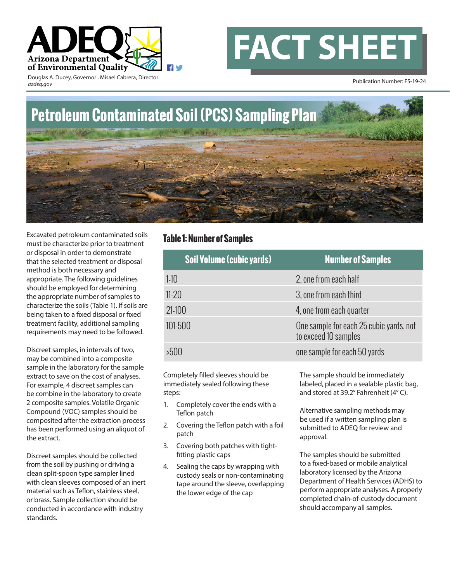



Douglas A. Ducey, Governor • Misael Cabrera, Director *azdeq.gov*

Publication Number: FS-19-24

## **Petroleum Contaminated Soil (PCS) Sampling Plan**

Excavated petroleum contaminated soils must be characterize prior to treatment or disposal in order to demonstrate that the selected treatment or disposal method is both necessary and appropriate. The following guidelines should be employed for determining the appropriate number of samples to characterize the soils (Table 1). If soils are being taken to a fixed disposal or fixed treatment facility, additional sampling requirements may need to be followed.

Discreet samples, in intervals of two, may be combined into a composite sample in the laboratory for the sample extract to save on the cost of analyses. For example, 4 discreet samples can be combine in the laboratory to create 2 composite samples. Volatile Organic Compound (VOC) samples should be composited after the extraction process has been performed using an aliquot of the extract.

Discreet samples should be collected from the soil by pushing or driving a clean split-spoon type sampler lined with clean sleeves composed of an inert material such as Teflon, stainless steel, or brass. Sample collection should be conducted in accordance with industry standards.

## **Table 1: Number of Samples**

| <b>Soil Volume (cubic yards)</b> | <b>Number of Samples</b>                                        |
|----------------------------------|-----------------------------------------------------------------|
| $1-10$                           | 2, one from each half                                           |
| $11-20$                          | 3, one from each third                                          |
| $21-100$                         | 4, one from each quarter                                        |
| 101-500                          | One sample for each 25 cubic yards, not<br>to exceed 10 samples |
| >500                             | one sample for each 50 yards                                    |

Completely filled sleeves should be immediately sealed following these steps:

- 1. Completely cover the ends with a Teflon patch
- 2. Covering the Teflon patch with a foil patch
- 3. Covering both patches with tightfitting plastic caps
- 4. Sealing the caps by wrapping with custody seals or non-contaminating tape around the sleeve, overlapping the lower edge of the cap

The sample should be immediately labeled, placed in a sealable plastic bag, and stored at 39.2° Fahrenheit (4° C).

Alternative sampling methods may be used if a written sampling plan is submitted to ADEQ for review and approval.

The samples should be submitted to a fixed-based or mobile analytical laboratory licensed by the Arizona Department of Health Services (ADHS) to perform appropriate analyses. A properly completed chain-of-custody document should accompany all samples.